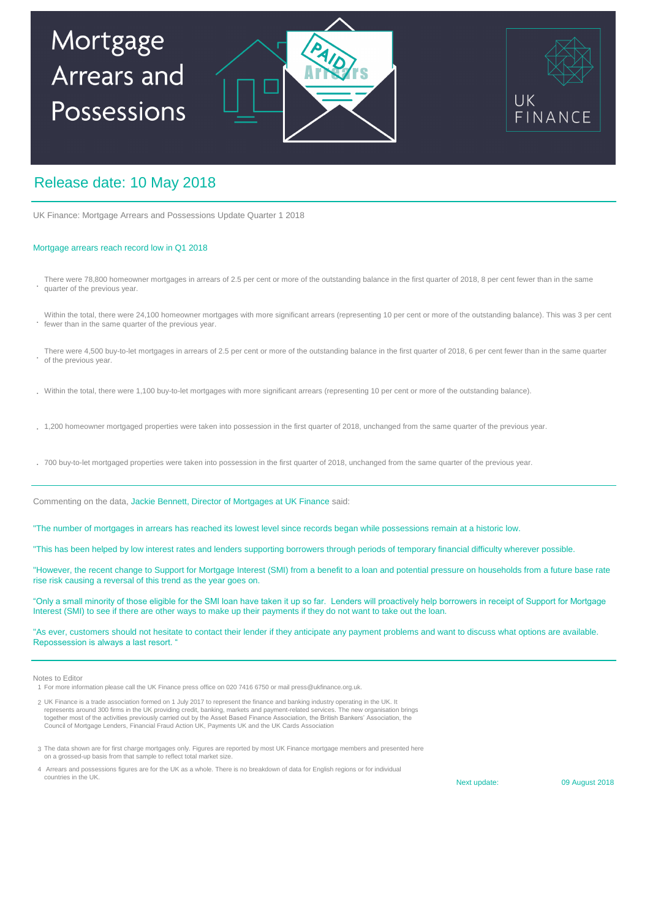# Mortgage Arrears and Possessions





## Release date: 10 May 2018

UK Finance: Mortgage Arrears and Possessions Update Quarter 1 2018

### Mortgage arrears reach record low in Q1 2018

- **.** There were 78,800 homeowner mortgages in arrears of 2.5 per cent or more of the outstanding balance in the first quarter of 2018, 8 per cent fewer than in the same quarter of the previous year.
- **.** Within the total, there were 24,100 homeowner mortgages with more significant arrears (representing 10 per cent or more of the outstanding balance). This was 3 per cent fewer than in the same quarter of the previous year.
- **.** There were 4,500 buy-to-let mortgages in arrears of 2.5 per cent or more of the outstanding balance in the first quarter of 2018, 6 per cent fewer than in the same quarter of the previous year.
- **.** Within the total, there were 1,100 buy-to-let mortgages with more significant arrears (representing 10 per cent or more of the outstanding balance).
- **.** 1,200 homeowner mortgaged properties were taken into possession in the first quarter of 2018, unchanged from the same quarter of the previous year.
- **.** 700 buy-to-let mortgaged properties were taken into possession in the first quarter of 2018, unchanged from the same quarter of the previous year.

Commenting on the data, Jackie Bennett, Director of Mortgages at UK Finance said:

"The number of mortgages in arrears has reached its lowest level since records began while possessions remain at a historic low.

"This has been helped by low interest rates and lenders supporting borrowers through periods of temporary financial difficulty wherever possible.

"However, the recent change to Support for Mortgage Interest (SMI) from a benefit to a loan and potential pressure on households from a future base rate rise risk causing a reversal of this trend as the year goes on.

"Only a small minority of those eligible for the SMI loan have taken it up so far. Lenders will proactively help borrowers in receipt of Support for Mortgage Interest (SMI) to see if there are other ways to make up their payments if they do not want to take out the loan.

"As ever, customers should not hesitate to contact their lender if they anticipate any payment problems and want to discuss what options are available. Repossession is always a last resort. "

#### Notes to Editor

1 For more information please call the UK Finance press office on 020 7416 6750 or mail press@ukfinance.org.uk.

- 2 UK Finance is a trade association formed on 1 July 2017 to represent the finance and banking industry operating in the UK. It represents around 300 firms in the UK providing credit, banking, markets and payment-related services. The new organisation brings<br>together most of the activities previously carried out by the Asset Based Finance Associati Council of Mortgage Lenders, Financial Fraud Action UK, Payments UK and the UK Cards Association
- 3 The data shown are for first charge mortgages only. Figures are reported by most UK Finance mortgage members and presented here on a grossed-up basis from that sample to reflect total market size.
- 4 Arrears and possessions figures are for the UK as a whole. There is no breakdown of data for English regions or for individual countries in the UK.

Next update:

09 August 2018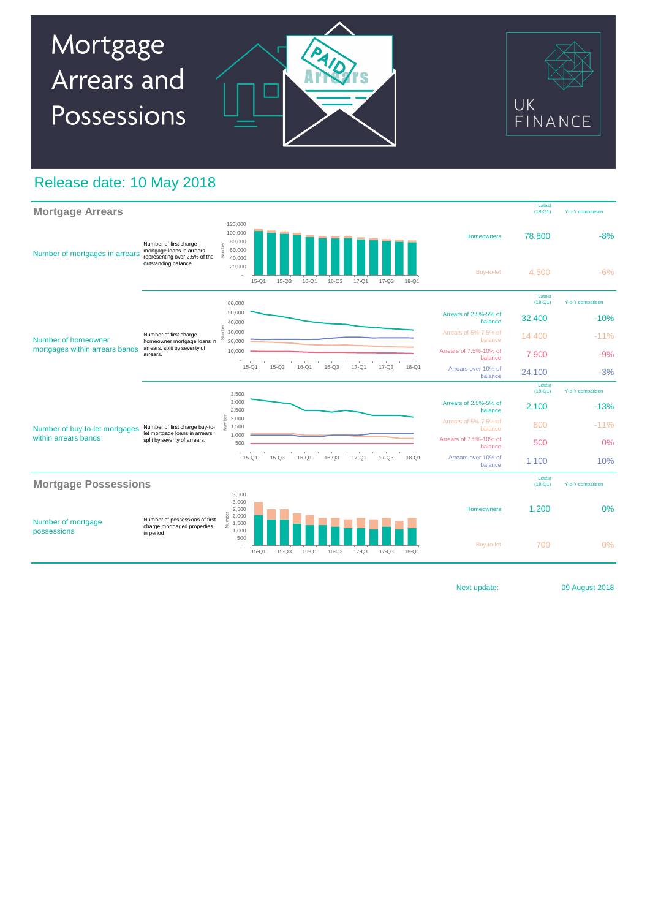

## Release date: 10 May 2018



Next update:

09 August 2018